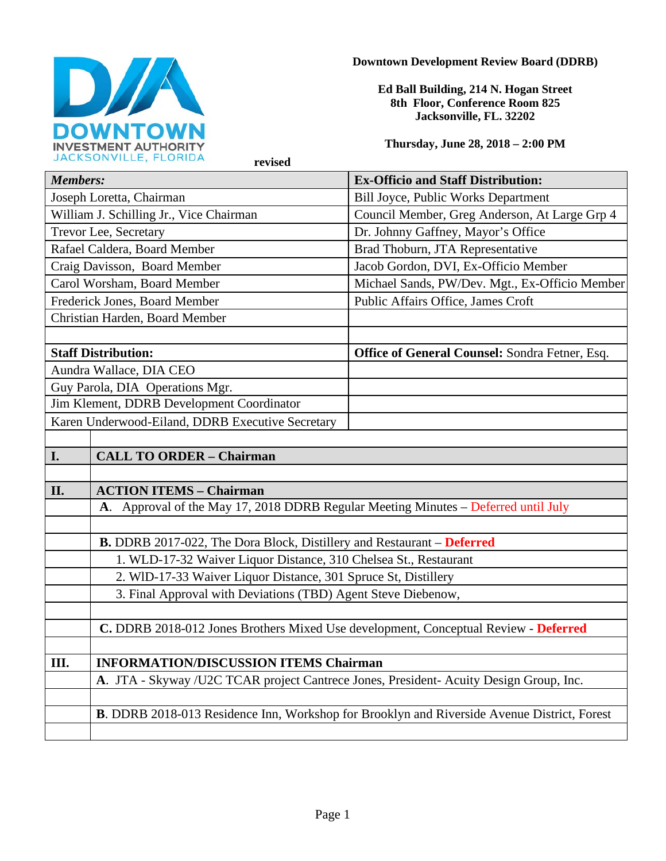

### **Downtown Development Review Board (DDRB)**

**Ed Ball Building, 214 N. Hogan Street 8th Floor, Conference Room 825 Jacksonville, FL. 32202** 

**Thursday, June 28, 2018 – 2:00 PM**

| <b>Members:</b>                                                                       |                                                                                     | <b>Ex-Officio and Staff Distribution:</b>                                                          |  |
|---------------------------------------------------------------------------------------|-------------------------------------------------------------------------------------|----------------------------------------------------------------------------------------------------|--|
| Joseph Loretta, Chairman                                                              |                                                                                     | <b>Bill Joyce, Public Works Department</b>                                                         |  |
| William J. Schilling Jr., Vice Chairman                                               |                                                                                     | Council Member, Greg Anderson, At Large Grp 4                                                      |  |
| Trevor Lee, Secretary                                                                 |                                                                                     | Dr. Johnny Gaffney, Mayor's Office                                                                 |  |
| Rafael Caldera, Board Member                                                          |                                                                                     | Brad Thoburn, JTA Representative                                                                   |  |
| Craig Davisson, Board Member                                                          |                                                                                     | Jacob Gordon, DVI, Ex-Officio Member                                                               |  |
| Carol Worsham, Board Member                                                           |                                                                                     | Michael Sands, PW/Dev. Mgt., Ex-Officio Member                                                     |  |
| Frederick Jones, Board Member                                                         |                                                                                     | Public Affairs Office, James Croft                                                                 |  |
| Christian Harden, Board Member                                                        |                                                                                     |                                                                                                    |  |
|                                                                                       |                                                                                     |                                                                                                    |  |
| <b>Staff Distribution:</b>                                                            |                                                                                     | <b>Office of General Counsel: Sondra Fetner, Esq.</b>                                              |  |
| Aundra Wallace, DIA CEO                                                               |                                                                                     |                                                                                                    |  |
| Guy Parola, DIA Operations Mgr.                                                       |                                                                                     |                                                                                                    |  |
| Jim Klement, DDRB Development Coordinator                                             |                                                                                     |                                                                                                    |  |
| Karen Underwood-Eiland, DDRB Executive Secretary                                      |                                                                                     |                                                                                                    |  |
|                                                                                       |                                                                                     |                                                                                                    |  |
| <b>I.</b>                                                                             | <b>CALL TO ORDER - Chairman</b>                                                     |                                                                                                    |  |
|                                                                                       |                                                                                     |                                                                                                    |  |
| II.                                                                                   | <b>ACTION ITEMS - Chairman</b>                                                      |                                                                                                    |  |
|                                                                                       | A. Approval of the May 17, 2018 DDRB Regular Meeting Minutes - Deferred until July  |                                                                                                    |  |
|                                                                                       |                                                                                     |                                                                                                    |  |
| <b>B.</b> DDRB 2017-022, The Dora Block, Distillery and Restaurant – Deferred         |                                                                                     |                                                                                                    |  |
| 1. WLD-17-32 Waiver Liquor Distance, 310 Chelsea St., Restaurant                      |                                                                                     |                                                                                                    |  |
| 2. WID-17-33 Waiver Liquor Distance, 301 Spruce St, Distillery                        |                                                                                     |                                                                                                    |  |
|                                                                                       | 3. Final Approval with Deviations (TBD) Agent Steve Diebenow,                       |                                                                                                    |  |
|                                                                                       |                                                                                     |                                                                                                    |  |
|                                                                                       | C. DDRB 2018-012 Jones Brothers Mixed Use development, Conceptual Review - Deferred |                                                                                                    |  |
|                                                                                       |                                                                                     |                                                                                                    |  |
| Ш.                                                                                    | <b>INFORMATION/DISCUSSION ITEMS Chairman</b>                                        |                                                                                                    |  |
| A. JTA - Skyway /U2C TCAR project Cantrece Jones, President-Acuity Design Group, Inc. |                                                                                     |                                                                                                    |  |
|                                                                                       |                                                                                     |                                                                                                    |  |
|                                                                                       |                                                                                     | <b>B.</b> DDRB 2018-013 Residence Inn, Workshop for Brooklyn and Riverside Avenue District, Forest |  |
|                                                                                       |                                                                                     |                                                                                                    |  |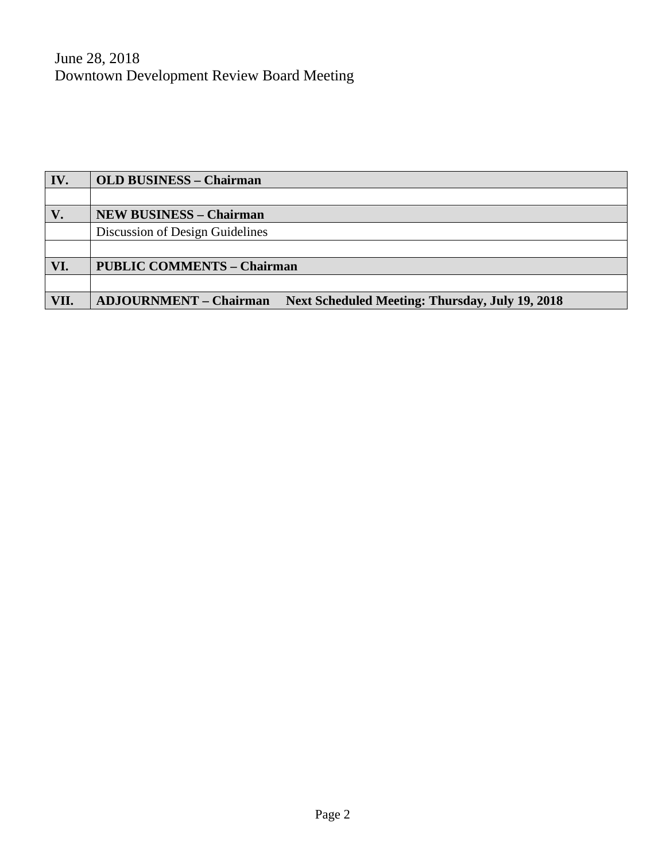June 28, 2018 Downtown Development Review Board Meeting

| IV.  | <b>OLD BUSINESS - Chairman</b>                                                   |  |  |
|------|----------------------------------------------------------------------------------|--|--|
|      |                                                                                  |  |  |
| V.   | <b>NEW BUSINESS - Chairman</b>                                                   |  |  |
|      | Discussion of Design Guidelines                                                  |  |  |
|      |                                                                                  |  |  |
| VI.  | <b>PUBLIC COMMENTS - Chairman</b>                                                |  |  |
|      |                                                                                  |  |  |
| VII. | <b>ADJOURNMENT – Chairman</b><br>Next Scheduled Meeting: Thursday, July 19, 2018 |  |  |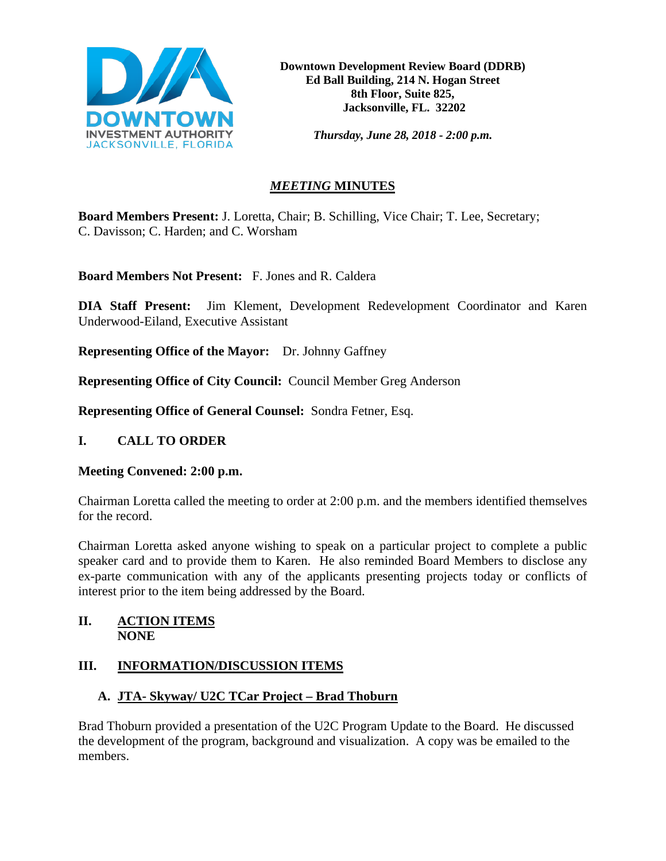

*Thursday, June 28, 2018 - 2:00 p.m.*

# *MEETING* **MINUTES**

**Board Members Present:** J. Loretta, Chair; B. Schilling, Vice Chair; T. Lee, Secretary; C. Davisson; C. Harden; and C. Worsham

**Board Members Not Present:** F. Jones and R. Caldera

**DIA Staff Present:** Jim Klement, Development Redevelopment Coordinator and Karen Underwood-Eiland, Executive Assistant

**Representing Office of the Mayor:** Dr. Johnny Gaffney

**Representing Office of City Council:** Council Member Greg Anderson

**Representing Office of General Counsel:** Sondra Fetner, Esq.

## **I. CALL TO ORDER**

### **Meeting Convened: 2:00 p.m.**

Chairman Loretta called the meeting to order at 2:00 p.m. and the members identified themselves for the record.

Chairman Loretta asked anyone wishing to speak on a particular project to complete a public speaker card and to provide them to Karen. He also reminded Board Members to disclose any ex-parte communication with any of the applicants presenting projects today or conflicts of interest prior to the item being addressed by the Board.

### **II. ACTION ITEMS NONE**

## **III. INFORMATION/DISCUSSION ITEMS**

# **A. JTA- Skyway/ U2C TCar Project – Brad Thoburn**

Brad Thoburn provided a presentation of the U2C Program Update to the Board. He discussed the development of the program, background and visualization. A copy was be emailed to the members.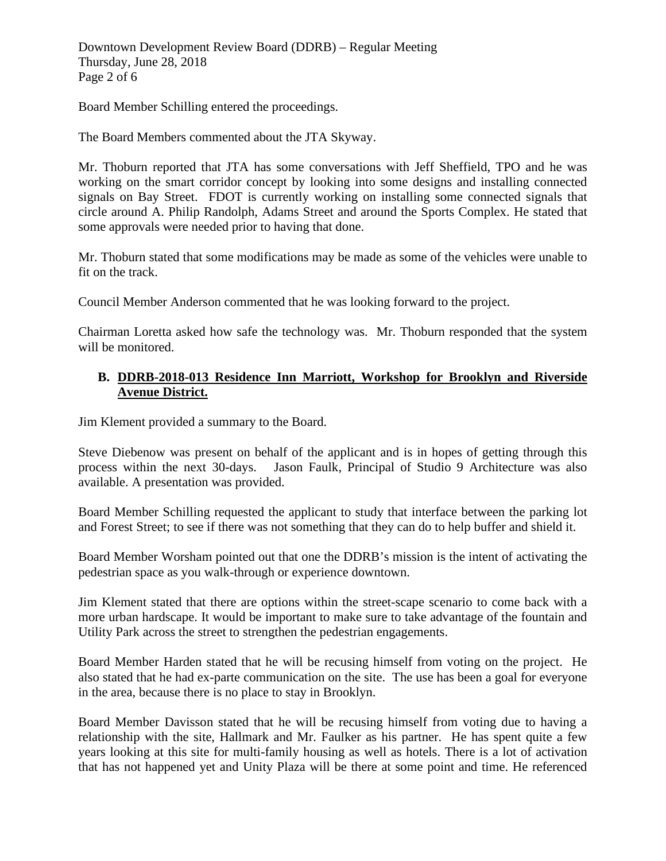Downtown Development Review Board (DDRB) – Regular Meeting Thursday, June 28, 2018 Page 2 of 6

Board Member Schilling entered the proceedings.

The Board Members commented about the JTA Skyway.

Mr. Thoburn reported that JTA has some conversations with Jeff Sheffield, TPO and he was working on the smart corridor concept by looking into some designs and installing connected signals on Bay Street. FDOT is currently working on installing some connected signals that circle around A. Philip Randolph, Adams Street and around the Sports Complex. He stated that some approvals were needed prior to having that done.

Mr. Thoburn stated that some modifications may be made as some of the vehicles were unable to fit on the track.

Council Member Anderson commented that he was looking forward to the project.

Chairman Loretta asked how safe the technology was. Mr. Thoburn responded that the system will be monitored.

### **B. DDRB-2018-013 Residence Inn Marriott, Workshop for Brooklyn and Riverside Avenue District.**

Jim Klement provided a summary to the Board.

Steve Diebenow was present on behalf of the applicant and is in hopes of getting through this process within the next 30-days. Jason Faulk, Principal of Studio 9 Architecture was also available. A presentation was provided.

Board Member Schilling requested the applicant to study that interface between the parking lot and Forest Street; to see if there was not something that they can do to help buffer and shield it.

Board Member Worsham pointed out that one the DDRB's mission is the intent of activating the pedestrian space as you walk-through or experience downtown.

Jim Klement stated that there are options within the street-scape scenario to come back with a more urban hardscape. It would be important to make sure to take advantage of the fountain and Utility Park across the street to strengthen the pedestrian engagements.

Board Member Harden stated that he will be recusing himself from voting on the project. He also stated that he had ex-parte communication on the site. The use has been a goal for everyone in the area, because there is no place to stay in Brooklyn.

Board Member Davisson stated that he will be recusing himself from voting due to having a relationship with the site, Hallmark and Mr. Faulker as his partner. He has spent quite a few years looking at this site for multi-family housing as well as hotels. There is a lot of activation that has not happened yet and Unity Plaza will be there at some point and time. He referenced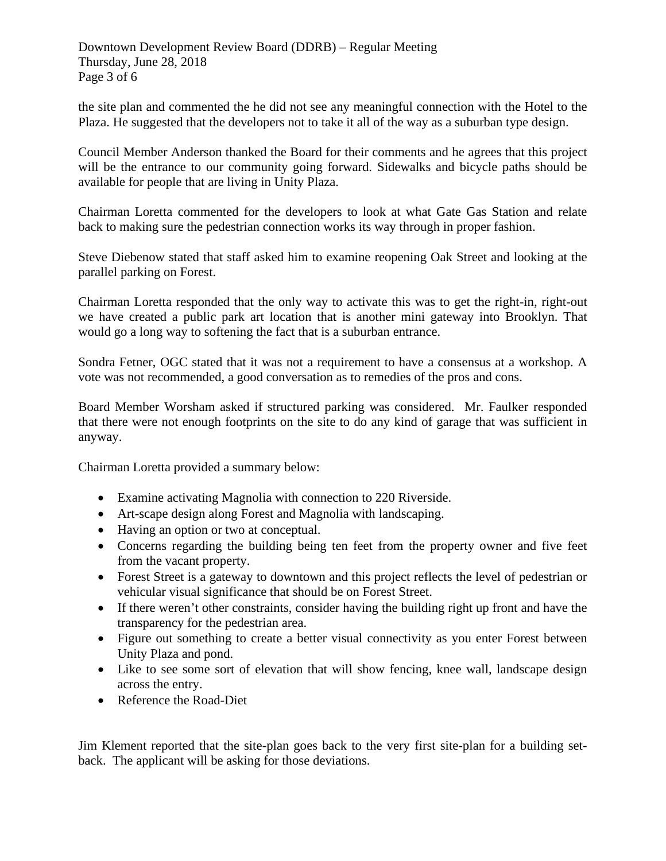Downtown Development Review Board (DDRB) – Regular Meeting Thursday, June 28, 2018 Page 3 of 6

the site plan and commented the he did not see any meaningful connection with the Hotel to the Plaza. He suggested that the developers not to take it all of the way as a suburban type design.

Council Member Anderson thanked the Board for their comments and he agrees that this project will be the entrance to our community going forward. Sidewalks and bicycle paths should be available for people that are living in Unity Plaza.

Chairman Loretta commented for the developers to look at what Gate Gas Station and relate back to making sure the pedestrian connection works its way through in proper fashion.

Steve Diebenow stated that staff asked him to examine reopening Oak Street and looking at the parallel parking on Forest.

Chairman Loretta responded that the only way to activate this was to get the right-in, right-out we have created a public park art location that is another mini gateway into Brooklyn. That would go a long way to softening the fact that is a suburban entrance.

Sondra Fetner, OGC stated that it was not a requirement to have a consensus at a workshop. A vote was not recommended, a good conversation as to remedies of the pros and cons.

Board Member Worsham asked if structured parking was considered. Mr. Faulker responded that there were not enough footprints on the site to do any kind of garage that was sufficient in anyway.

Chairman Loretta provided a summary below:

- Examine activating Magnolia with connection to 220 Riverside.
- Art-scape design along Forest and Magnolia with landscaping.
- Having an option or two at conceptual.
- Concerns regarding the building being ten feet from the property owner and five feet from the vacant property.
- Forest Street is a gateway to downtown and this project reflects the level of pedestrian or vehicular visual significance that should be on Forest Street.
- If there weren't other constraints, consider having the building right up front and have the transparency for the pedestrian area.
- Figure out something to create a better visual connectivity as you enter Forest between Unity Plaza and pond.
- Like to see some sort of elevation that will show fencing, knee wall, landscape design across the entry.
- Reference the Road-Diet

Jim Klement reported that the site-plan goes back to the very first site-plan for a building setback. The applicant will be asking for those deviations.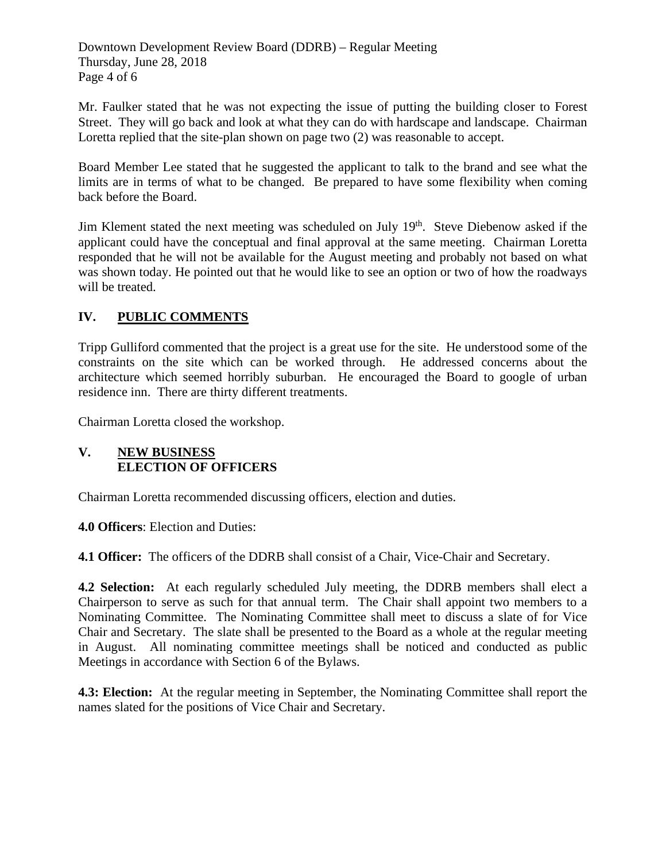Downtown Development Review Board (DDRB) – Regular Meeting Thursday, June 28, 2018 Page 4 of 6

Mr. Faulker stated that he was not expecting the issue of putting the building closer to Forest Street. They will go back and look at what they can do with hardscape and landscape. Chairman Loretta replied that the site-plan shown on page two (2) was reasonable to accept.

Board Member Lee stated that he suggested the applicant to talk to the brand and see what the limits are in terms of what to be changed. Be prepared to have some flexibility when coming back before the Board.

Jim Klement stated the next meeting was scheduled on July 19<sup>th</sup>. Steve Diebenow asked if the applicant could have the conceptual and final approval at the same meeting. Chairman Loretta responded that he will not be available for the August meeting and probably not based on what was shown today. He pointed out that he would like to see an option or two of how the roadways will be treated.

## **IV. PUBLIC COMMENTS**

Tripp Gulliford commented that the project is a great use for the site. He understood some of the constraints on the site which can be worked through. He addressed concerns about the architecture which seemed horribly suburban. He encouraged the Board to google of urban residence inn. There are thirty different treatments.

Chairman Loretta closed the workshop.

### **V. NEW BUSINESS ELECTION OF OFFICERS**

Chairman Loretta recommended discussing officers, election and duties.

**4.0 Officers**: Election and Duties:

**4.1 Officer:** The officers of the DDRB shall consist of a Chair, Vice-Chair and Secretary.

**4.2 Selection:** At each regularly scheduled July meeting, the DDRB members shall elect a Chairperson to serve as such for that annual term. The Chair shall appoint two members to a Nominating Committee. The Nominating Committee shall meet to discuss a slate of for Vice Chair and Secretary. The slate shall be presented to the Board as a whole at the regular meeting in August. All nominating committee meetings shall be noticed and conducted as public Meetings in accordance with Section 6 of the Bylaws.

**4.3: Election:** At the regular meeting in September, the Nominating Committee shall report the names slated for the positions of Vice Chair and Secretary.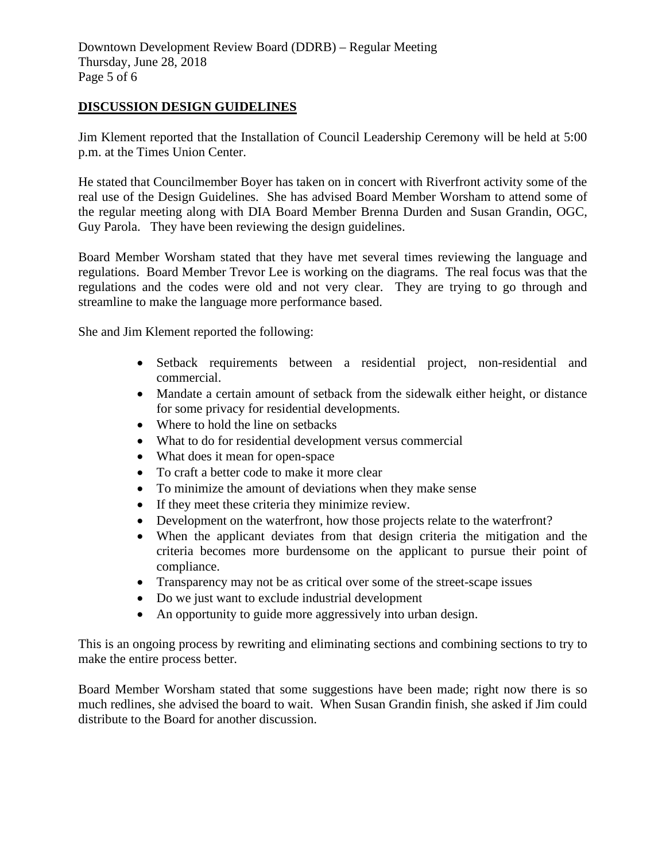#### **DISCUSSION DESIGN GUIDELINES**

Jim Klement reported that the Installation of Council Leadership Ceremony will be held at 5:00 p.m. at the Times Union Center.

He stated that Councilmember Boyer has taken on in concert with Riverfront activity some of the real use of the Design Guidelines. She has advised Board Member Worsham to attend some of the regular meeting along with DIA Board Member Brenna Durden and Susan Grandin, OGC, Guy Parola. They have been reviewing the design guidelines.

Board Member Worsham stated that they have met several times reviewing the language and regulations. Board Member Trevor Lee is working on the diagrams. The real focus was that the regulations and the codes were old and not very clear. They are trying to go through and streamline to make the language more performance based.

She and Jim Klement reported the following:

- Setback requirements between a residential project, non-residential and commercial.
- Mandate a certain amount of setback from the sidewalk either height, or distance for some privacy for residential developments.
- Where to hold the line on setbacks
- What to do for residential development versus commercial
- What does it mean for open-space
- To craft a better code to make it more clear
- To minimize the amount of deviations when they make sense
- If they meet these criteria they minimize review.
- Development on the waterfront, how those projects relate to the waterfront?
- When the applicant deviates from that design criteria the mitigation and the criteria becomes more burdensome on the applicant to pursue their point of compliance.
- Transparency may not be as critical over some of the street-scape issues
- Do we just want to exclude industrial development
- An opportunity to guide more aggressively into urban design.

This is an ongoing process by rewriting and eliminating sections and combining sections to try to make the entire process better.

Board Member Worsham stated that some suggestions have been made; right now there is so much redlines, she advised the board to wait. When Susan Grandin finish, she asked if Jim could distribute to the Board for another discussion.